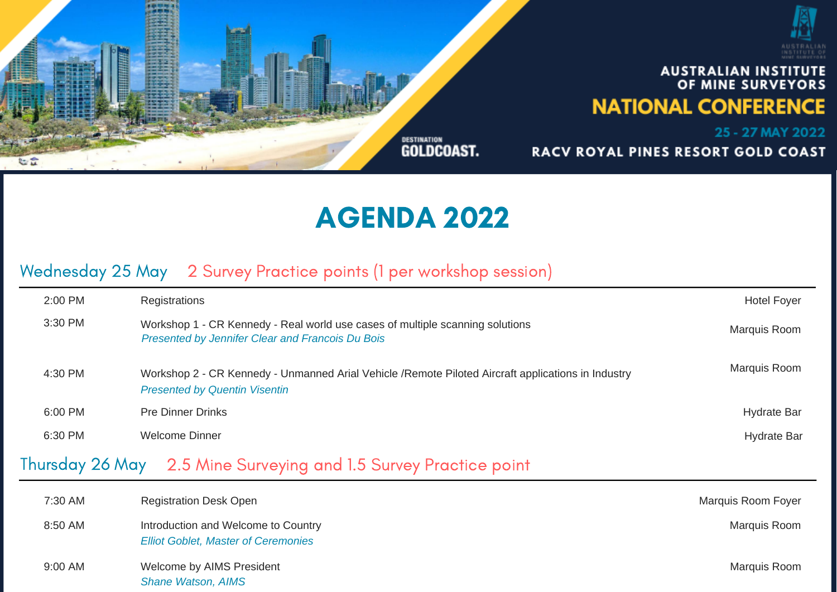

## AGENDA 2022

## Wednesday 25 May 2 Survey Practice points (1 per workshop session)

| <b>Hotel Foyer</b>        | Registrations                                                                                                                               | 2:00 PM |
|---------------------------|---------------------------------------------------------------------------------------------------------------------------------------------|---------|
| Marquis Room              | Workshop 1 - CR Kennedy - Real world use cases of multiple scanning solutions<br>Presented by Jennifer Clear and Francois Du Bois           | 3:30 PM |
| Marquis Room              | Workshop 2 - CR Kennedy - Unmanned Arial Vehicle / Remote Piloted Aircraft applications in Industry<br><b>Presented by Quentin Visentin</b> | 4:30 PM |
| <b>Hydrate Bar</b>        | <b>Pre Dinner Drinks</b>                                                                                                                    | 6:00 PM |
| <b>Hydrate Bar</b>        | <b>Welcome Dinner</b>                                                                                                                       | 6:30 PM |
|                           | Thursday 26 May 2.5 Mine Surveying and 1.5 Survey Practice point                                                                            |         |
| <b>Marquis Room Foyer</b> | <b>Registration Desk Open</b>                                                                                                               | 7:30 AM |

| ועור <i>ז</i> טט. ו | Regionation Desk Open                                                             | <b>IVIALUUIS NUUILL FUVUL</b> |
|---------------------|-----------------------------------------------------------------------------------|-------------------------------|
| 8:50 AM             | Introduction and Welcome to Country<br><b>Elliot Goblet, Master of Ceremonies</b> | <b>Marquis Room</b>           |
| 9:00 AM             | Welcome by AIMS President<br><b>Shane Watson, AIMS</b>                            | Marquis Room                  |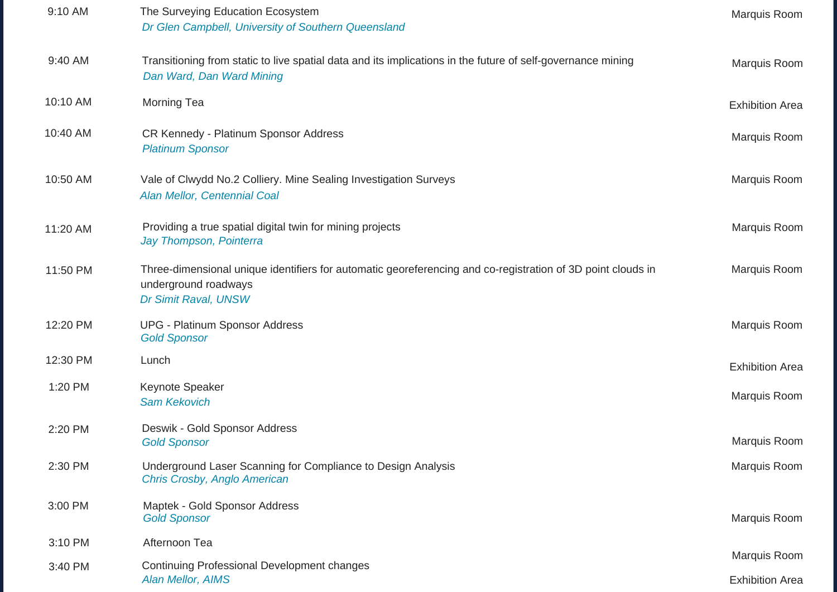| 9:10 AM  | The Surveying Education Ecosystem<br>Dr Glen Campbell, University of Southern Queensland                                                                    | Marquis Room                           |
|----------|-------------------------------------------------------------------------------------------------------------------------------------------------------------|----------------------------------------|
| 9:40 AM  | Transitioning from static to live spatial data and its implications in the future of self-governance mining<br>Dan Ward, Dan Ward Mining                    | Marquis Room                           |
| 10:10 AM | <b>Morning Tea</b>                                                                                                                                          | <b>Exhibition Area</b>                 |
| 10:40 AM | CR Kennedy - Platinum Sponsor Address<br><b>Platinum Sponsor</b>                                                                                            | Marquis Room                           |
| 10:50 AM | Vale of Clwydd No.2 Colliery. Mine Sealing Investigation Surveys<br>Alan Mellor, Centennial Coal                                                            | Marquis Room                           |
| 11:20 AM | Providing a true spatial digital twin for mining projects<br>Jay Thompson, Pointerra                                                                        | Marquis Room                           |
| 11:50 PM | Three-dimensional unique identifiers for automatic georeferencing and co-registration of 3D point clouds in<br>underground roadways<br>Dr Simit Raval, UNSW | Marquis Room                           |
| 12:20 PM | <b>UPG - Platinum Sponsor Address</b><br><b>Gold Sponsor</b>                                                                                                | Marquis Room                           |
| 12:30 PM | Lunch                                                                                                                                                       | <b>Exhibition Area</b>                 |
| 1:20 PM  | Keynote Speaker<br><b>Sam Kekovich</b>                                                                                                                      | Marquis Room                           |
| 2:20 PM  | Deswik - Gold Sponsor Address<br><b>Gold Sponsor</b>                                                                                                        | Marquis Room                           |
| 2:30 PM  | Underground Laser Scanning for Compliance to Design Analysis<br>Chris Crosby, Anglo American                                                                | Marquis Room                           |
| 3:00 PM  | Maptek - Gold Sponsor Address<br><b>Gold Sponsor</b>                                                                                                        | Marquis Room                           |
| 3:10 PM  | Afternoon Tea                                                                                                                                               |                                        |
| 3:40 PM  | Continuing Professional Development changes<br>Alan Mellor, AIMS                                                                                            | Marquis Room<br><b>Exhibition Area</b> |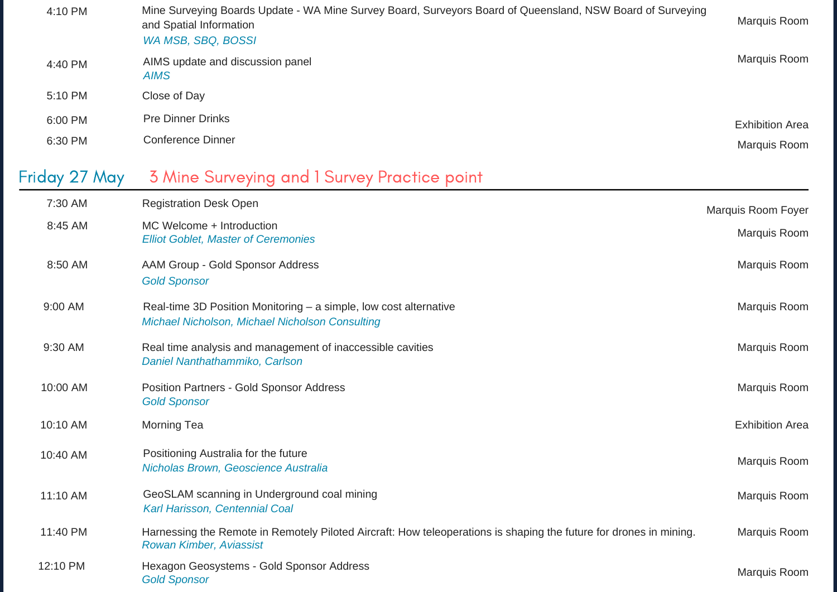| 4:10 PM       | Mine Surveying Boards Update - WA Mine Survey Board, Surveyors Board of Queensland, NSW Board of Surveying<br>and Spatial Information<br>WA MSB, SBQ, BOSSI | Marquis Room           |
|---------------|-------------------------------------------------------------------------------------------------------------------------------------------------------------|------------------------|
| 4:40 PM       | AIMS update and discussion panel<br><b>AIMS</b>                                                                                                             | Marquis Room           |
| 5:10 PM       | Close of Day                                                                                                                                                |                        |
| 6:00 PM       | <b>Pre Dinner Drinks</b>                                                                                                                                    | <b>Exhibition Area</b> |
| 6:30 PM       | <b>Conference Dinner</b>                                                                                                                                    | Marquis Room           |
| Friday 27 May | 3 Mine Surveying and 1 Survey Practice point                                                                                                                |                        |
| 7:30 AM       | <b>Registration Desk Open</b>                                                                                                                               | Marquis Room Foyer     |
| 8:45 AM       | MC Welcome + Introduction<br><b>Elliot Goblet, Master of Ceremonies</b>                                                                                     | <b>Marquis Room</b>    |
| 8:50 AM       | AAM Group - Gold Sponsor Address<br><b>Gold Sponsor</b>                                                                                                     | Marquis Room           |
| 9:00 AM       | Real-time 3D Position Monitoring – a simple, low cost alternative<br>Michael Nicholson, Michael Nicholson Consulting                                        | Marquis Room           |
| 9:30 AM       | Real time analysis and management of inaccessible cavities<br>Daniel Nanthathammiko, Carlson                                                                | Marquis Room           |
| 10:00 AM      | Position Partners - Gold Sponsor Address<br><b>Gold Sponsor</b>                                                                                             | <b>Marquis Room</b>    |
| 10:10 AM      | <b>Morning Tea</b>                                                                                                                                          | <b>Exhibition Area</b> |
| 10:40 AM      | Positioning Australia for the future<br>Nicholas Brown, Geoscience Australia                                                                                | Marquis Room           |
| 11:10 AM      | GeoSLAM scanning in Underground coal mining<br>Karl Harisson, Centennial Coal                                                                               | Marquis Room           |
| 11:40 PM      | Harnessing the Remote in Remotely Piloted Aircraft: How teleoperations is shaping the future for drones in mining.<br>Rowan Kimber, Aviassist               | Marquis Room           |
| 12:10 PM      | Hexagon Geosystems - Gold Sponsor Address<br><b>Gold Sponsor</b>                                                                                            | Marquis Room           |